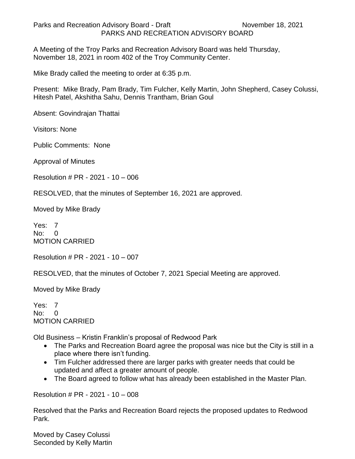Parks and Recreation Advisory Board - Draft November 18, 2021 PARKS AND RECREATION ADVISORY BOARD

A Meeting of the Troy Parks and Recreation Advisory Board was held Thursday, November 18, 2021 in room 402 of the Troy Community Center.

Mike Brady called the meeting to order at 6:35 p.m.

Present: Mike Brady, Pam Brady, Tim Fulcher, Kelly Martin, John Shepherd, Casey Colussi, Hitesh Patel, Akshitha Sahu, Dennis Trantham, Brian Goul

Absent: Govindrajan Thattai

Visitors: None

Public Comments: None

Approval of Minutes

Resolution # PR - 2021 - 10 – 006

RESOLVED, that the minutes of September 16, 2021 are approved.

Moved by Mike Brady

Yes: 7 No: 0 MOTION CARRIED

Resolution # PR - 2021 - 10 – 007

RESOLVED, that the minutes of October 7, 2021 Special Meeting are approved.

Moved by Mike Brady

Yes: 7 No: 0 MOTION CARRIED

Old Business – Kristin Franklin's proposal of Redwood Park

- The Parks and Recreation Board agree the proposal was nice but the City is still in a place where there isn't funding.
- Tim Fulcher addressed there are larger parks with greater needs that could be updated and affect a greater amount of people.
- The Board agreed to follow what has already been established in the Master Plan.

Resolution # PR - 2021 - 10 – 008

Resolved that the Parks and Recreation Board rejects the proposed updates to Redwood Park.

Moved by Casey Colussi Seconded by Kelly Martin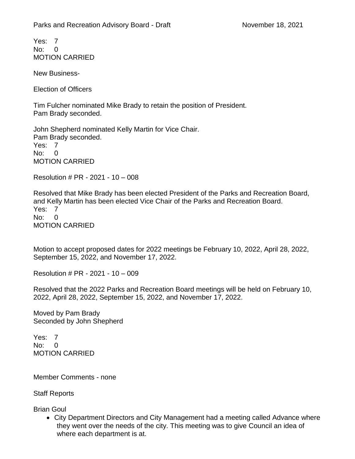Yes: 7  $N<sub>0</sub>$  0 MOTION CARRIED

New Business-

Election of Officers

Tim Fulcher nominated Mike Brady to retain the position of President. Pam Brady seconded.

John Shepherd nominated Kelly Martin for Vice Chair. Pam Brady seconded. Yes: 7 No: 0 MOTION CARRIED

Resolution # PR - 2021 - 10 – 008

Resolved that Mike Brady has been elected President of the Parks and Recreation Board, and Kelly Martin has been elected Vice Chair of the Parks and Recreation Board. Yes: 7 No: 0 MOTION CARRIED

Motion to accept proposed dates for 2022 meetings be February 10, 2022, April 28, 2022, September 15, 2022, and November 17, 2022.

Resolution # PR - 2021 - 10 – 009

Resolved that the 2022 Parks and Recreation Board meetings will be held on February 10, 2022, April 28, 2022, September 15, 2022, and November 17, 2022.

Moved by Pam Brady Seconded by John Shepherd

Yes: 7 No: 0 MOTION CARRIED

Member Comments - none

Staff Reports

Brian Goul

• City Department Directors and City Management had a meeting called Advance where they went over the needs of the city. This meeting was to give Council an idea of where each department is at.